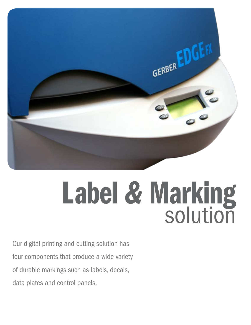

# **Label & Marking**

Our digital printing and cutting solution has four components that produce a wide variety of durable markings such as labels, decals, data plates and control panels.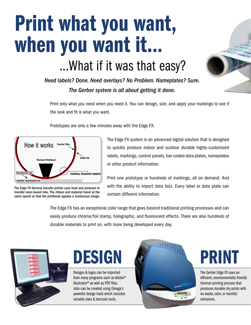## Print what you want, when you want it... ... What if it was that easy?

Need labels? Done. Need overlays? No Problem. Nameplates? Sure. *The Gerber system is all about getting it done.* 

Print only what you need when you need it. You can design, size, and apply your markings to see if the look and fit is what you want.

Prototypes are only a few minutes away with the Edge FX.



The Edge FX thermal transfer printer uses heat and pressure to transfer resin-based inks. The ribbon and material travel at the same speed so that the printhead applies a continuous image.

The Edge FX system is an advanced digital solution that is designed to quickly produce indoor and outdoor durable highly-customized labels, markings, control panels, bar-coded data plates, nameplates or other product information.

Print one prototype or hundreds of markings, all on demand. And with the ability to import data lists. Every label or data plate can contain different information.

The Edge FX has an exceptional color range that goes beyond traditional printing processes and can easily produce chrome/foil stamp, holographic, and fluorescent effects. There are also hundreds of durable materials to print on, with more being developed every day.



Designs & logos can be imported from many programs such as Adobe® Illustrator® as well as PDF files. Jobs can be created using Omega's powerful design tools which includes variable data & barcode tools.





The Gerber Edge FX uses an efficient, environmentally friendly thermal printing process that produces durable dry prints with no waste, odor, or harmful emissions.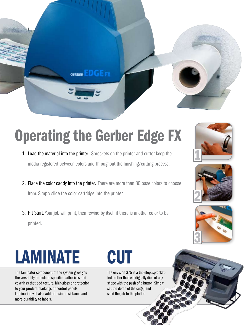

### Operating the Gerber Edge FX

- 1. Load the material into the printer. Sprockets on the printer and cutter keep the media registered between colors and throughout the finishing/cutting process.
- 2. Place the color caddy into the printer. There are more than 80 base colors to choose from. Simply slide the color cartridge into the printer.
- 3. Hit Start. Your job will print, then rewind by itself if there is another color to be printed.







### LAMINATE CUT

The laminator component of the system gives you the versatility to include specified adhesives and coverings that add texture, high-gloss or protection to your product markings or control panels. Lamination will also add abrasion resistance and more durability to labels.

The enVision 375 is a tabletop, sprocketfed plotter that will digitally die cut any shape with the push of a button. Simply set the depth of the cut(s) and send the job to the plotter.